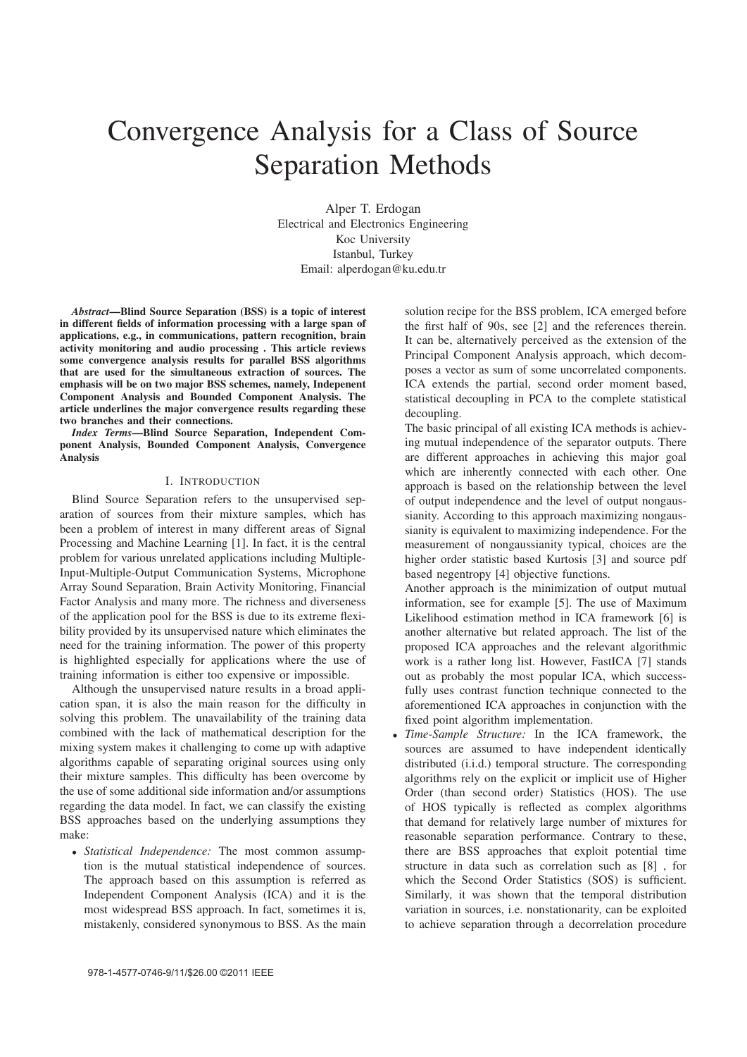# Convergence Analysis for a Class of Source Separation Methods

Alper T. Erdogan Electrical and Electronics Engineering Koc University Istanbul, Turkey Email: alperdogan@ku.edu.tr

*Abstract*—Blind Source Separation (BSS) is a topic of interest in different fields of information processing with a large span of applications, e.g., in communications, pattern recognition, brain activity monitoring and audio processing . This article reviews some convergence analysis results for parallel BSS algorithms that are used for the simultaneous extraction of sources. The emphasis will be on two major BSS schemes, namely, Indepenent Component Analysis and Bounded Component Analysis. The article underlines the major convergence results regarding these two branches and their connections.

*Index Terms*—Blind Source Separation, Independent Component Analysis, Bounded Component Analysis, Convergence Analysis

#### I. INTRODUCTION

Blind Source Separation refers to the unsupervised separation of sources from their mixture samples, which has been a problem of interest in many different areas of Signal Processing and Machine Learning [1]. In fact, it is the central problem for various unrelated applications including Multiple-Input-Multiple-Output Communication Systems, Microphone Array Sound Separation, Brain Activity Monitoring, Financial Factor Analysis and many more. The richness and diverseness of the application pool for the BSS is due to its extreme flexibility provided by its unsupervised nature which eliminates the need for the training information. The power of this property is highlighted especially for applications where the use of training information is either too expensive or impossible.

Although the unsupervised nature results in a broad application span, it is also the main reason for the difficulty in solving this problem. The unavailability of the training data combined with the lack of mathematical description for the mixing system makes it challenging to come up with adaptive algorithms capable of separating original sources using only their mixture samples. This difficulty has been overcome by the use of some additional side information and/or assumptions regarding the data model. In fact, we can classify the existing BSS approaches based on the underlying assumptions they make:

• *Statistical Independence:* The most common assumption is the mutual statistical independence of sources. The approach based on this assumption is referred as Independent Component Analysis (ICA) and it is the most widespread BSS approach. In fact, sometimes it is, mistakenly, considered synonymous to BSS. As the main

solution recipe for the BSS problem, ICA emerged before the first half of 90s, see [2] and the references therein. It can be, alternatively perceived as the extension of the Principal Component Analysis approach, which decomposes a vector as sum of some uncorrelated components. ICA extends the partial, second order moment based, statistical decoupling in PCA to the complete statistical decoupling.

The basic principal of all existing ICA methods is achieving mutual independence of the separator outputs. There are different approaches in achieving this major goal which are inherently connected with each other. One approach is based on the relationship between the level of output independence and the level of output nongaussianity. According to this approach maximizing nongaussianity is equivalent to maximizing independence. For the measurement of nongaussianity typical, choices are the higher order statistic based Kurtosis [3] and source pdf based negentropy [4] objective functions.

Another approach is the minimization of output mutual information, see for example [5]. The use of Maximum Likelihood estimation method in ICA framework [6] is another alternative but related approach. The list of the proposed ICA approaches and the relevant algorithmic work is a rather long list. However, FastICA [7] stands out as probably the most popular ICA, which successfully uses contrast function technique connected to the aforementioned ICA approaches in conjunction with the fixed point algorithm implementation.

• *Time-Sample Structure:* In the ICA framework, the sources are assumed to have independent identically distributed (i.i.d.) temporal structure. The corresponding algorithms rely on the explicit or implicit use of Higher Order (than second order) Statistics (HOS). The use of HOS typically is reflected as complex algorithms that demand for relatively large number of mixtures for reasonable separation performance. Contrary to these, there are BSS approaches that exploit potential time structure in data such as correlation such as [8] , for which the Second Order Statistics (SOS) is sufficient. Similarly, it was shown that the temporal distribution variation in sources, i.e. nonstationarity, can be exploited to achieve separation through a decorrelation procedure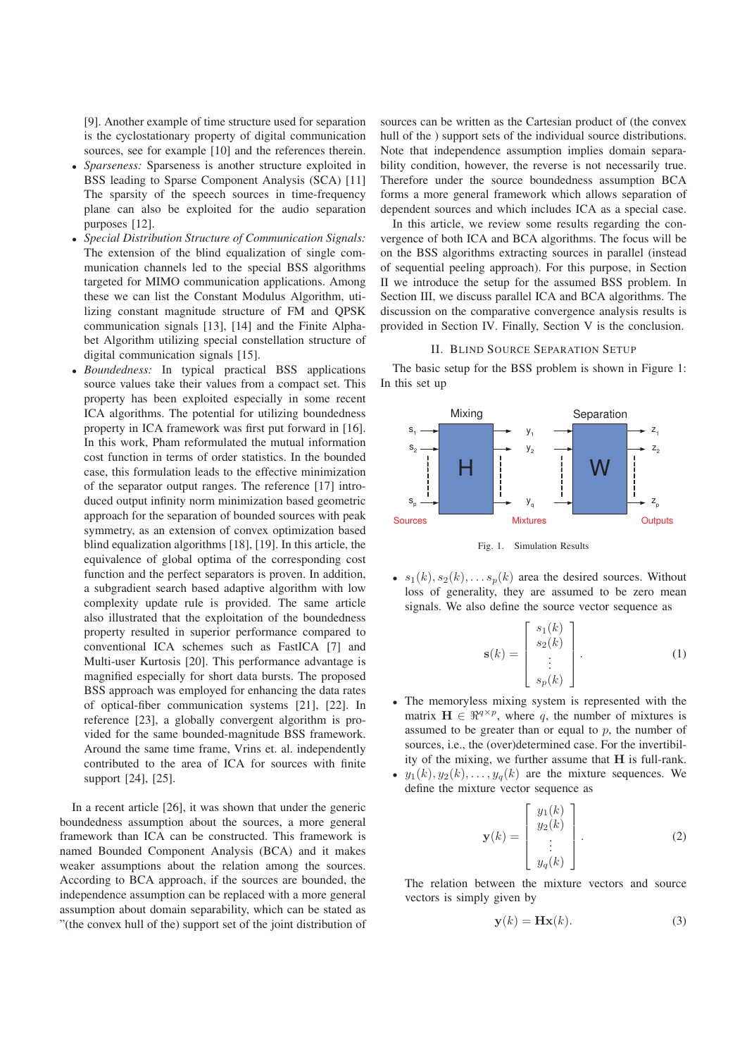[9]. Another example of time structure used for separation is the cyclostationary property of digital communication sources, see for example [10] and the references therein.

- *Sparseness:* Sparseness is another structure exploited in BSS leading to Sparse Component Analysis (SCA) [11] The sparsity of the speech sources in time-frequency plane can also be exploited for the audio separation purposes [12].
- *Special Distribution Structure of Communication Signals:* The extension of the blind equalization of single communication channels led to the special BSS algorithms targeted for MIMO communication applications. Among these we can list the Constant Modulus Algorithm, utilizing constant magnitude structure of FM and QPSK communication signals [13], [14] and the Finite Alphabet Algorithm utilizing special constellation structure of digital communication signals [15].
- *Boundedness:* In typical practical BSS applications source values take their values from a compact set. This property has been exploited especially in some recent ICA algorithms. The potential for utilizing boundedness property in ICA framework was first put forward in [16]. In this work, Pham reformulated the mutual information cost function in terms of order statistics. In the bounded case, this formulation leads to the effective minimization of the separator output ranges. The reference [17] introduced output infinity norm minimization based geometric approach for the separation of bounded sources with peak symmetry, as an extension of convex optimization based blind equalization algorithms [18], [19]. In this article, the equivalence of global optima of the corresponding cost function and the perfect separators is proven. In addition, a subgradient search based adaptive algorithm with low complexity update rule is provided. The same article also illustrated that the exploitation of the boundedness property resulted in superior performance compared to conventional ICA schemes such as FastICA [7] and Multi-user Kurtosis [20]. This performance advantage is magnified especially for short data bursts. The proposed BSS approach was employed for enhancing the data rates of optical-fiber communication systems [21], [22]. In reference [23], a globally convergent algorithm is provided for the same bounded-magnitude BSS framework. Around the same time frame, Vrins et. al. independently contributed to the area of ICA for sources with finite support [24], [25].

In a recent article [26], it was shown that under the generic boundedness assumption about the sources, a more general framework than ICA can be constructed. This framework is named Bounded Component Analysis (BCA) and it makes weaker assumptions about the relation among the sources. According to BCA approach, if the sources are bounded, the independence assumption can be replaced with a more general assumption about domain separability, which can be stated as "(the convex hull of the) support set of the joint distribution of

sources can be written as the Cartesian product of (the convex hull of the ) support sets of the individual source distributions. Note that independence assumption implies domain separability condition, however, the reverse is not necessarily true. Therefore under the source boundedness assumption BCA forms a more general framework which allows separation of dependent sources and which includes ICA as a special case.

In this article, we review some results regarding the convergence of both ICA and BCA algorithms. The focus will be on the BSS algorithms extracting sources in parallel (instead of sequential peeling approach). For this purpose, in Section II we introduce the setup for the assumed BSS problem. In Section III, we discuss parallel ICA and BCA algorithms. The discussion on the comparative convergence analysis results is provided in Section IV. Finally, Section V is the conclusion.

#### II. BLIND SOURCE SEPARATION SETUP

The basic setup for the BSS problem is shown in Figure 1: In this set up



Fig. 1. Simulation Results

•  $s_1(k), s_2(k), \ldots s_n(k)$  area the desired sources. Without loss of generality, they are assumed to be zero mean signals. We also define the source vector sequence as

$$
\mathbf{s}(k) = \begin{bmatrix} s_1(k) \\ s_2(k) \\ \vdots \\ s_p(k) \end{bmatrix} . \tag{1}
$$

- The memoryless mixing system is represented with the matrix  $\mathbf{H} \in \mathbb{R}^{q \times p}$ , where q, the number of mixtures is assumed to be greater than or equal to  $p$ , the number of sources, i.e., the (over)determined case. For the invertibility of the mixing, we further assume that  $H$  is full-rank.
- $y_1(k), y_2(k), \ldots, y_q(k)$  are the mixture sequences. We define the mixture vector sequence as

$$
\mathbf{y}(k) = \begin{bmatrix} y_1(k) \\ y_2(k) \\ \vdots \\ y_q(k) \end{bmatrix} . \tag{2}
$$

The relation between the mixture vectors and source vectors is simply given by

$$
\mathbf{y}(k) = \mathbf{H}\mathbf{x}(k). \tag{3}
$$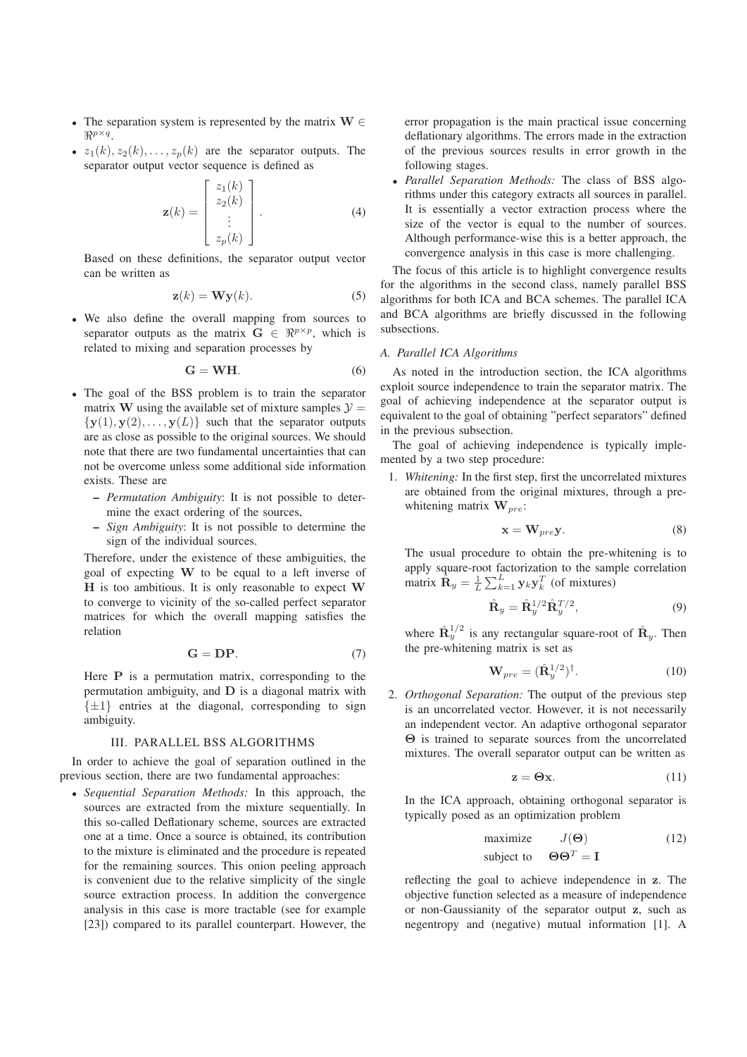- The separation system is represented by the matrix  $W \in$  $\mathbb{R}^{p \times q}$
- $z_1(k), z_2(k), \ldots, z_p(k)$  are the separator outputs. The separator output vector sequence is defined as

$$
\mathbf{z}(k) = \begin{bmatrix} z_1(k) \\ z_2(k) \\ \vdots \\ z_p(k) \end{bmatrix} . \tag{4}
$$

Based on these definitions, the separator output vector can be written as

$$
\mathbf{z}(k) = \mathbf{W}\mathbf{y}(k). \tag{5}
$$

• We also define the overall mapping from sources to separator outputs as the matrix  $G \in \mathbb{R}^{p \times p}$ , which is related to mixing and separation processes by

$$
G = WH.
$$
 (6)

- The goal of the BSS problem is to train the separator matrix W using the available set of mixture samples  $\mathcal{Y} =$  $\{y(1), y(2), \ldots, y(L)\}\$  such that the separator outputs are as close as possible to the original sources. We should note that there are two fundamental uncertainties that can not be overcome unless some additional side information exists. These are
	- *Permutation Ambiguity*: It is not possible to determine the exact ordering of the sources,
	- *Sign Ambiguity*: It is not possible to determine the sign of the individual sources.

Therefore, under the existence of these ambiguities, the goal of expecting W to be equal to a left inverse of  $H$  is too ambitious. It is only reasonable to expect  $W$ to converge to vicinity of the so-called perfect separator matrices for which the overall mapping satisfies the relation

$$
G = DP.
$$
 (7)

Here  $P$  is a permutation matrix, corresponding to the permutation ambiguity, and D is a diagonal matrix with  $\{\pm 1\}$  entries at the diagonal, corresponding to sign ambiguity.

# III. PARALLEL BSS ALGORITHMS

In order to achieve the goal of separation outlined in the previous section, there are two fundamental approaches:

• *Sequential Separation Methods:* In this approach, the sources are extracted from the mixture sequentially. In this so-called Deflationary scheme, sources are extracted one at a time. Once a source is obtained, its contribution to the mixture is eliminated and the procedure is repeated for the remaining sources. This onion peeling approach is convenient due to the relative simplicity of the single source extraction process. In addition the convergence analysis in this case is more tractable (see for example [23]) compared to its parallel counterpart. However, the

error propagation is the main practical issue concerning deflationary algorithms. The errors made in the extraction of the previous sources results in error growth in the following stages.

• *Parallel Separation Methods:* The class of BSS algorithms under this category extracts all sources in parallel. It is essentially a vector extraction process where the size of the vector is equal to the number of sources. Although performance-wise this is a better approach, the convergence analysis in this case is more challenging.

The focus of this article is to highlight convergence results for the algorithms in the second class, namely parallel BSS algorithms for both ICA and BCA schemes. The parallel ICA and BCA algorithms are briefly discussed in the following subsections.

# *A. Parallel ICA Algorithms*

As noted in the introduction section, the ICA algorithms exploit source independence to train the separator matrix. The goal of achieving independence at the separator output is equivalent to the goal of obtaining "perfect separators" defined in the previous subsection.

The goal of achieving independence is typically implemented by a two step procedure:

1. *Whitening:* In the first step, first the uncorrelated mixtures are obtained from the original mixtures, through a prewhitening matrix  $\mathbf{W}_{pre}$ :

$$
\mathbf{x} = \mathbf{W}_{pre} \mathbf{y}.\tag{8}
$$

The usual procedure to obtain the pre-whitening is to apply square-root factorization to the sample correlation matrix  $\hat{\mathbf{R}}_y = \frac{1}{L} \sum_{k=1}^L \mathbf{y}_k \mathbf{y}_k^T$  (of mixtures)

$$
\hat{\mathbf{R}}_y = \hat{\mathbf{R}}_y^{1/2} \hat{\mathbf{R}}_y^{T/2},\tag{9}
$$

where  $\hat{\mathbf{R}}_y^{1/2}$  is any rectangular square-root of  $\hat{\mathbf{R}}_y$ . Then the pre-whitening matrix is set as

$$
\mathbf{W}_{pre} = (\hat{\mathbf{R}}_y^{1/2})^\dagger. \tag{10}
$$

2. *Orthogonal Separation:* The output of the previous step is an uncorrelated vector. However, it is not necessarily an independent vector. An adaptive orthogonal separator Θ is trained to separate sources from the uncorrelated mixtures. The overall separator output can be written as

$$
z = \Theta x. \tag{11}
$$

In the ICA approach, obtaining orthogonal separator is typically posed as an optimization problem

maximize 
$$
J(\Theta)
$$
 (12)  
subject to  $\Theta \Theta^T = \mathbf{I}$ 

reflecting the goal to achieve independence in z. The objective function selected as a measure of independence or non-Gaussianity of the separator output z, such as negentropy and (negative) mutual information [1]. A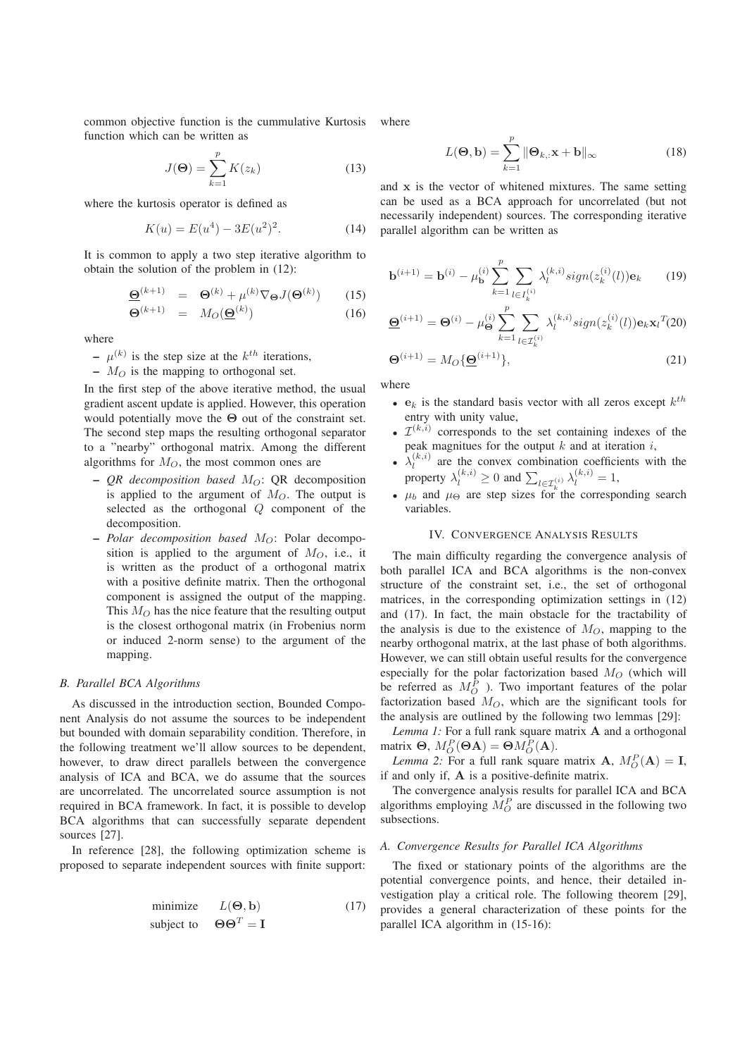common objective function is the cummulative Kurtosis function which can be written as

$$
J(\Theta) = \sum_{k=1}^{p} K(z_k)
$$
 (13)

where the kurtosis operator is defined as

$$
K(u) = E(u4) - 3E(u2)2.
$$
 (14)

It is common to apply a two step iterative algorithm to obtain the solution of the problem in (12):

$$
\underline{\Theta}^{(k+1)} = \Theta^{(k)} + \mu^{(k)} \nabla_{\Theta} J(\Theta^{(k)}) \qquad (15)
$$

$$
\Theta^{(k+1)} = M_O(\underline{\Theta}^{(k)}) \tag{16}
$$

where

–  $\mu^{(k)}$  is the step size at the  $k^{th}$  iterations,

–  $M_O$  is the mapping to orthogonal set.

In the first step of the above iterative method, the usual gradient ascent update is applied. However, this operation would potentially move the  $\Theta$  out of the constraint set. The second step maps the resulting orthogonal separator to a "nearby" orthogonal matrix. Among the different algorithms for  $M_O$ , the most common ones are

- $-$  *QR decomposition based M* $\sigma$ : QR decomposition is applied to the argument of  $M_O$ . The output is selected as the orthogonal Q component of the decomposition.
- $-$  *Polar decomposition based*  $M_O$ : Polar decomposition is applied to the argument of  $M_O$ , i.e., it is written as the product of a orthogonal matrix with a positive definite matrix. Then the orthogonal component is assigned the output of the mapping. This  $M<sub>O</sub>$  has the nice feature that the resulting output is the closest orthogonal matrix (in Frobenius norm or induced 2-norm sense) to the argument of the mapping.

#### *B. Parallel BCA Algorithms*

As discussed in the introduction section, Bounded Component Analysis do not assume the sources to be independent but bounded with domain separability condition. Therefore, in the following treatment we'll allow sources to be dependent, however, to draw direct parallels between the convergence analysis of ICA and BCA, we do assume that the sources are uncorrelated. The uncorrelated source assumption is not required in BCA framework. In fact, it is possible to develop BCA algorithms that can successfully separate dependent sources [27].

In reference [28], the following optimization scheme is proposed to separate independent sources with finite support:

$$
\begin{array}{ll}\text{minimize} & L(\Theta, \mathbf{b})\\ \text{subject to} & \Theta\Theta^T = \mathbf{I} \end{array} \tag{17}
$$

where

$$
L(\mathbf{\Theta}, \mathbf{b}) = \sum_{k=1}^{p} \|\mathbf{\Theta}_{k,:} \mathbf{x} + \mathbf{b}\|_{\infty}
$$
 (18)

and x is the vector of whitened mixtures. The same setting can be used as a BCA approach for uncorrelated (but not necessarily independent) sources. The corresponding iterative parallel algorithm can be written as

$$
\mathbf{b}^{(i+1)} = \mathbf{b}^{(i)} - \mu_{\mathbf{b}}^{(i)} \sum_{k=1}^{p} \sum_{l \in I_k^{(i)}} \lambda_l^{(k,i)} sign(z_k^{(i)}(l)) \mathbf{e}_k \qquad (19)
$$

$$
\underline{\Theta}^{(i+1)} = \Theta^{(i)} - \mu_{\Theta}^{(i)} \sum_{k=1}^{p} \sum_{l \in \mathcal{I}_k^{(i)}} \lambda_l^{(k,i)} sign(z_k^{(i)}(l)) \mathbf{e}_k \mathbf{x}_l^{T}(20)
$$

$$
\Theta^{(i+1)} = M_O \{ \underline{\Theta}^{(i+1)} \},\tag{21}
$$

where

- $e_k$  is the standard basis vector with all zeros except  $k^{th}$ entry with unity value,
- $\mathcal{I}^{(k,i)}$  corresponds to the set containing indexes of the peak magnitues for the output  $k$  and at iteration  $i$ ,
- $\lambda_l^{(k,i)}$  are the convex combination coefficients with the property  $\lambda_l^{(k,i)} \ge 0$  and  $\sum_{l \in \mathcal{I}_k^{(i)}} \lambda_l^{(k,i)} = 1$ ,
- $\mu_b$  and  $\mu_\Theta$  are step sizes for the corresponding search variables.

# IV. CONVERGENCE ANALYSIS RESULTS

The main difficulty regarding the convergence analysis of both parallel ICA and BCA algorithms is the non-convex structure of the constraint set, i.e., the set of orthogonal matrices, in the corresponding optimization settings in (12) and (17). In fact, the main obstacle for the tractability of the analysis is due to the existence of  $M_{\odot}$ , mapping to the nearby orthogonal matrix, at the last phase of both algorithms. However, we can still obtain useful results for the convergence especially for the polar factorization based  $M_O$  (which will be referred as  $M_O^P$ ). Two important features of the polar factorization based  $M_O$ , which are the significant tools for the analysis are outlined by the following two lemmas [29]:

*Lemma 1:* For a full rank square matrix A and a orthogonal matrix  $\mathbf{\Theta}, M_O^P(\mathbf{\Theta} \mathbf{A}) = \mathbf{\Theta} M_O^P(\mathbf{A}).$ 

*Lemma 2:* For a full rank square matrix **A**,  $M_O^P(A) = I$ , if and only if, A is a positive-definite matrix.

The convergence analysis results for parallel ICA and BCA algorithms employing  $M_O^P$  are discussed in the following two subsections.

# *A. Convergence Results for Parallel ICA Algorithms*

The fixed or stationary points of the algorithms are the potential convergence points, and hence, their detailed investigation play a critical role. The following theorem [29], provides a general characterization of these points for the parallel ICA algorithm in (15-16):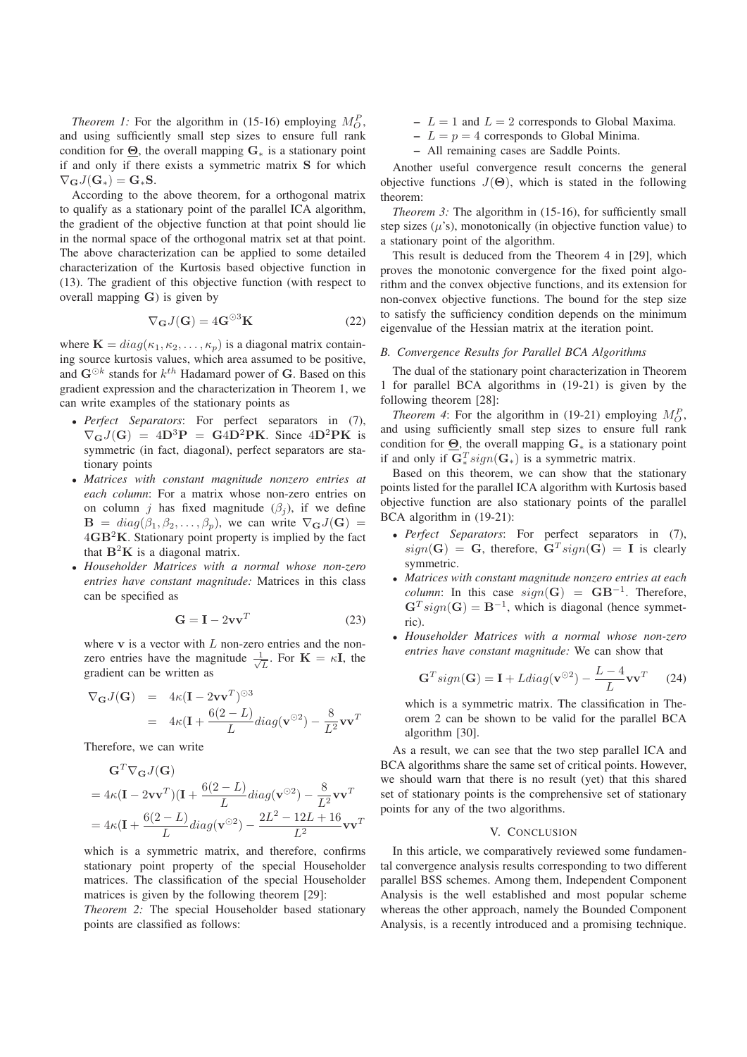*Theorem 1:* For the algorithm in (15-16) employing  $M_Q^P$ , and using sufficiently small step sizes to ensure full rank condition for  $\Theta$ , the overall mapping  $G_*$  is a stationary point if and only if there exists a symmetric matrix S for which  $\nabla_{\mathbf{G}}J(\mathbf{G}_{*})=\mathbf{G}_{*}\mathbf{S}.$ 

According to the above theorem, for a orthogonal matrix to qualify as a stationary point of the parallel ICA algorithm, the gradient of the objective function at that point should lie in the normal space of the orthogonal matrix set at that point. The above characterization can be applied to some detailed characterization of the Kurtosis based objective function in (13). The gradient of this objective function (with respect to overall mapping G) is given by

$$
\nabla_{\mathbf{G}} J(\mathbf{G}) = 4\mathbf{G}^{\odot 3} \mathbf{K}
$$
 (22)

where  $\mathbf{K} = diag(\kappa_1, \kappa_2, \dots, \kappa_p)$  is a diagonal matrix containing source kurtosis values, which area assumed to be positive, and  $\mathbf{G}^{\odot k}$  stands for  $k^{th}$  Hadamard power of G. Based on this gradient expression and the characterization in Theorem 1, we can write examples of the stationary points as

- *Perfect Separators*: For perfect separators in (7),  $\nabla_{\mathbf{G}} J(\mathbf{G}) = 4\mathbf{D}^3 \mathbf{P} = \mathbf{G} 4\mathbf{D}^2 \mathbf{P} \mathbf{K}$ . Since  $4\mathbf{D}^2 \mathbf{P} \mathbf{K}$  is symmetric (in fact, diagonal), perfect separators are stationary points
- *Matrices with constant magnitude nonzero entries at each column*: For a matrix whose non-zero entries on on column *j* has fixed magnitude  $(\beta_i)$ , if we define  $\mathbf{B} = diag(\beta_1, \beta_2, \dots, \beta_p)$ , we can write  $\nabla_{\mathbf{G}} J(\mathbf{G}) =$  $4GB<sup>2</sup>K$ . Stationary point property is implied by the fact that  $B^2K$  is a diagonal matrix.
- *Householder Matrices with a normal whose non-zero entries have constant magnitude:* Matrices in this class can be specified as

$$
\mathbf{G} = \mathbf{I} - 2\mathbf{v}\mathbf{v}^T \tag{23}
$$

where  $v$  is a vector with  $L$  non-zero entries and the nonzero entries have the magnitude  $\frac{1}{\sqrt{L}}$ . For  $\mathbf{K} = \kappa \mathbf{I}$ , the gradient can be written as

$$
\nabla_{\mathbf{G}} J(\mathbf{G}) = 4\kappa (\mathbf{I} - 2\mathbf{v}\mathbf{v}^{T})^{\odot 3}
$$
  
=  $4\kappa (\mathbf{I} + \frac{6(2-L)}{L}) diag(\mathbf{v}^{\odot 2}) - \frac{8}{L^{2}} \mathbf{v}\mathbf{v}^{T}$ 

Therefore, we can write

$$
\mathbf{G}^T \nabla_{\mathbf{G}} J(\mathbf{G})
$$
  
=  $4\kappa (\mathbf{I} - 2\mathbf{v} \mathbf{v}^T)(\mathbf{I} + \frac{6(2 - L)}{L} diag(\mathbf{v}^{\odot 2}) - \frac{8}{L^2} \mathbf{v} \mathbf{v}^T$   
=  $4\kappa (\mathbf{I} + \frac{6(2 - L)}{L} diag(\mathbf{v}^{\odot 2}) - \frac{2L^2 - 12L + 16}{L^2} \mathbf{v} \mathbf{v}^T$ 

which is a symmetric matrix, and therefore, confirms stationary point property of the special Householder matrices. The classification of the special Householder matrices is given by the following theorem [29]:

*Theorem 2:* The special Householder based stationary points are classified as follows:

- $L = 1$  and  $L = 2$  corresponds to Global Maxima.
- $L = p = 4$  corresponds to Global Minima.
- All remaining cases are Saddle Points.

Another useful convergence result concerns the general objective functions  $J(\Theta)$ , which is stated in the following theorem:

*Theorem 3:* The algorithm in (15-16), for sufficiently small step sizes  $(\mu's)$ , monotonically (in objective function value) to a stationary point of the algorithm.

This result is deduced from the Theorem 4 in [29], which proves the monotonic convergence for the fixed point algorithm and the convex objective functions, and its extension for non-convex objective functions. The bound for the step size to satisfy the sufficiency condition depends on the minimum eigenvalue of the Hessian matrix at the iteration point.

### *B. Convergence Results for Parallel BCA Algorithms*

The dual of the stationary point characterization in Theorem 1 for parallel BCA algorithms in (19-21) is given by the following theorem [28]:

*Theorem 4*: For the algorithm in (19-21) employing  $M_O^P$ , and using sufficiently small step sizes to ensure full rank condition for  $\Theta$ , the overall mapping  $G_*$  is a stationary point if and only if  $\mathbf{G}_{*}^{T} sign(\mathbf{G}_{*})$  is a symmetric matrix.

Based on this theorem, we can show that the stationary points listed for the parallel ICA algorithm with Kurtosis based objective function are also stationary points of the parallel BCA algorithm in (19-21):

- *Perfect Separators*: For perfect separators in (7),  $sign(\mathbf{G}) = \mathbf{G}$ , therefore,  $\mathbf{G}^{T} sign(\mathbf{G}) = \mathbf{I}$  is clearly symmetric.
- *Matrices with constant magnitude nonzero entries at each column*: In this case  $sign(G) = GB^{-1}$ . Therefore,  $\mathbf{G}^{T}$  sign( $\mathbf{G}$ ) =  $\mathbf{B}^{-1}$ , which is diagonal (hence symmetric).
- *Householder Matrices with a normal whose non-zero entries have constant magnitude:* We can show that

$$
\mathbf{G}^T sign(\mathbf{G}) = \mathbf{I} + Ldiag(\mathbf{v}^{\odot 2}) - \frac{L-4}{L}\mathbf{v}\mathbf{v}^T
$$
 (24)

which is a symmetric matrix. The classification in Theorem 2 can be shown to be valid for the parallel BCA algorithm [30].

As a result, we can see that the two step parallel ICA and BCA algorithms share the same set of critical points. However, we should warn that there is no result (yet) that this shared set of stationary points is the comprehensive set of stationary points for any of the two algorithms.

#### V. CONCLUSION

In this article, we comparatively reviewed some fundamental convergence analysis results corresponding to two different parallel BSS schemes. Among them, Independent Component Analysis is the well established and most popular scheme whereas the other approach, namely the Bounded Component Analysis, is a recently introduced and a promising technique.